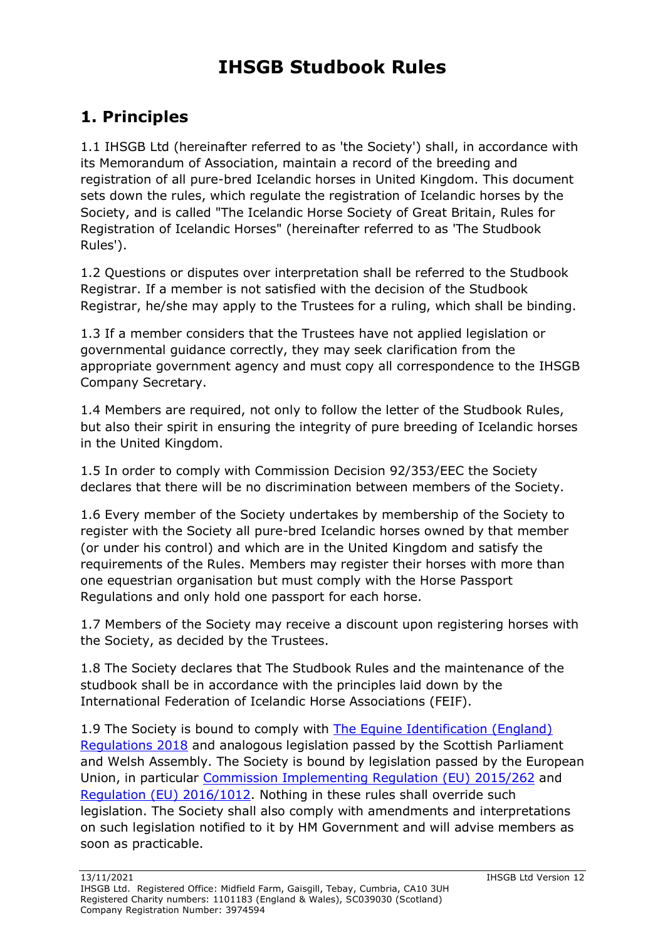# **IHSGB Studbook Rules**

# **1. Principles**

1.1 IHSGB Ltd (hereinafter referred to as 'the Society') shall, in accordance with its Memorandum of Association, maintain a record of the breeding and registration of all pure-bred Icelandic horses in United Kingdom. This document sets down the rules, which regulate the registration of Icelandic horses by the Society, and is called "The Icelandic Horse Society of Great Britain, Rules for Registration of Icelandic Horses" (hereinafter referred to as 'The Studbook Rules').

1.2 Questions or disputes over interpretation shall be referred to the Studbook Registrar. If a member is not satisfied with the decision of the Studbook Registrar, he/she may apply to the Trustees for a ruling, which shall be binding.

1.3 If a member considers that the Trustees have not applied legislation or governmental guidance correctly, they may seek clarification from the appropriate government agency and must copy all correspondence to the IHSGB Company Secretary.

1.4 Members are required, not only to follow the letter of the Studbook Rules, but also their spirit in ensuring the integrity of pure breeding of Icelandic horses in the United Kingdom.

1.5 In order to comply with Commission Decision 92/353/EEC the Society declares that there will be no discrimination between members of the Society.

1.6 Every member of the Society undertakes by membership of the Society to register with the Society all pure-bred Icelandic horses owned by that member (or under his control) and which are in the United Kingdom and satisfy the requirements of the Rules. Members may register their horses with more than one equestrian organisation but must comply with the Horse Passport Regulations and only hold one passport for each horse.

1.7 Members of the Society may receive a discount upon registering horses with the Society, as decided by the Trustees.

1.8 The Society declares that The Studbook Rules and the maintenance of the studbook shall be in accordance with the principles laid down by the International Federation of Icelandic Horse Associations (FEIF).

1.9 The Society is bound to comply with [The Equine Identification \(England\)](https://www.legislation.gov.uk/uksi/2018/761/contents/made)  [Regulations 2018](https://www.legislation.gov.uk/uksi/2018/761/contents/made) and analogous legislation passed by the Scottish Parliament and Welsh Assembly. The Society is bound by legislation passed by the European Union, in particular [Commission Implementing Regulation \(EU\) 2015/262](http://eur-lex.europa.eu/legal-content/EN/TXT/?uri=uriserv%3AOJ.L_.2015.059.01.0001.01.ENG) and [Regulation \(EU\) 2016/1012.](https://eur-lex.europa.eu/legal-content/EN/TXT/?uri=CELEX:32016R1012) Nothing in these rules shall override such legislation. The Society shall also comply with amendments and interpretations on such legislation notified to it by HM Government and will advise members as soon as practicable.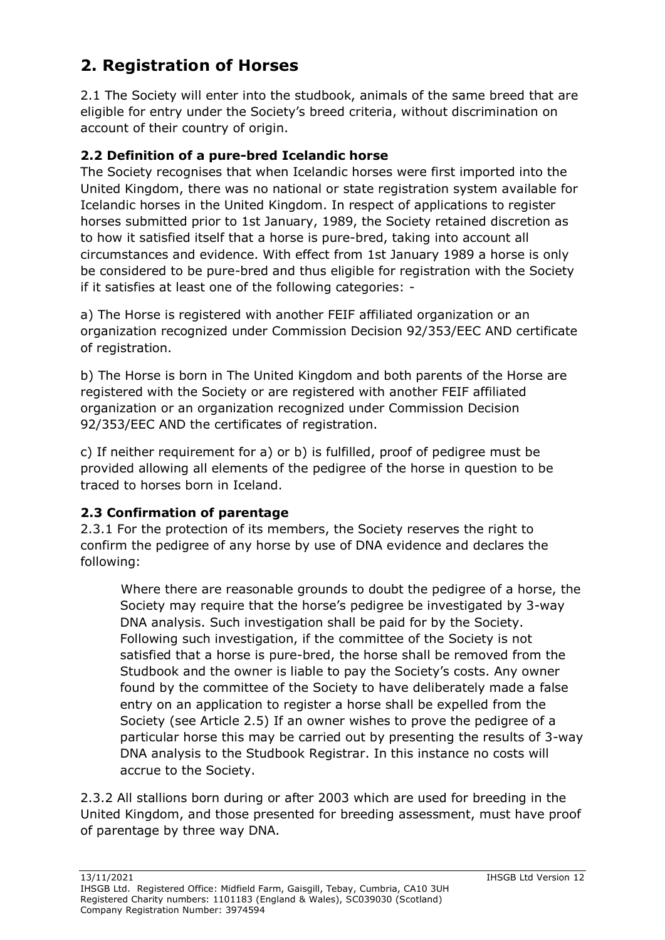## **2. Registration of Horses**

2.1 The Society will enter into the studbook, animals of the same breed that are eligible for entry under the Society's breed criteria, without discrimination on account of their country of origin.

#### **2.2 Definition of a pure-bred Icelandic horse**

The Society recognises that when Icelandic horses were first imported into the United Kingdom, there was no national or state registration system available for Icelandic horses in the United Kingdom. In respect of applications to register horses submitted prior to 1st January, 1989, the Society retained discretion as to how it satisfied itself that a horse is pure-bred, taking into account all circumstances and evidence. With effect from 1st January 1989 a horse is only be considered to be pure-bred and thus eligible for registration with the Society if it satisfies at least one of the following categories: -

a) The Horse is registered with another FEIF affiliated organization or an organization recognized under Commission Decision 92/353/EEC AND certificate of registration.

b) The Horse is born in The United Kingdom and both parents of the Horse are registered with the Society or are registered with another FEIF affiliated organization or an organization recognized under Commission Decision 92/353/EEC AND the certificates of registration.

c) If neither requirement for a) or b) is fulfilled, proof of pedigree must be provided allowing all elements of the pedigree of the horse in question to be traced to horses born in Iceland.

#### **2.3 Confirmation of parentage**

2.3.1 For the protection of its members, the Society reserves the right to confirm the pedigree of any horse by use of DNA evidence and declares the following:

Where there are reasonable grounds to doubt the pedigree of a horse, the Society may require that the horse's pedigree be investigated by 3-way DNA analysis. Such investigation shall be paid for by the Society. Following such investigation, if the committee of the Society is not satisfied that a horse is pure-bred, the horse shall be removed from the Studbook and the owner is liable to pay the Society's costs. Any owner found by the committee of the Society to have deliberately made a false entry on an application to register a horse shall be expelled from the Society (see Article 2.5) If an owner wishes to prove the pedigree of a particular horse this may be carried out by presenting the results of 3-way DNA analysis to the Studbook Registrar. In this instance no costs will accrue to the Society.

2.3.2 All stallions born during or after 2003 which are used for breeding in the United Kingdom, and those presented for breeding assessment, must have proof of parentage by three way DNA.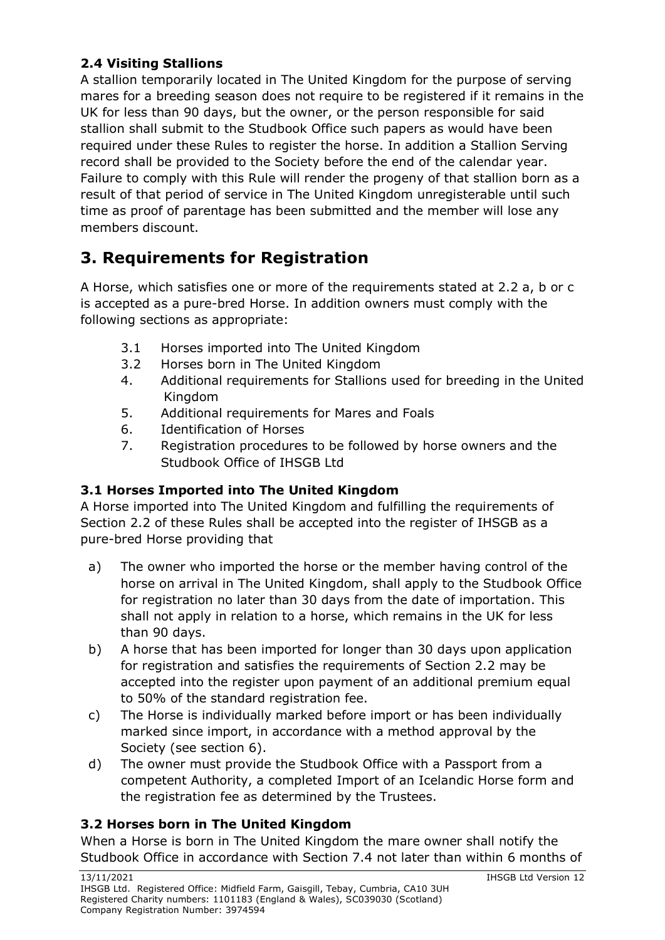### **2.4 Visiting Stallions**

A stallion temporarily located in The United Kingdom for the purpose of serving mares for a breeding season does not require to be registered if it remains in the UK for less than 90 days, but the owner, or the person responsible for said stallion shall submit to the Studbook Office such papers as would have been required under these Rules to register the horse. In addition a Stallion Serving record shall be provided to the Society before the end of the calendar year. Failure to comply with this Rule will render the progeny of that stallion born as a result of that period of service in The United Kingdom unregisterable until such time as proof of parentage has been submitted and the member will lose any members discount.

## **3. Requirements for Registration**

A Horse, which satisfies one or more of the requirements stated at 2.2 a, b or c is accepted as a pure-bred Horse. In addition owners must comply with the following sections as appropriate:

- 3.1 Horses imported into The United Kingdom
- 3.2 Horses born in The United Kingdom
- 4. Additional requirements for Stallions used for breeding in the United Kingdom
- 5. Additional requirements for Mares and Foals
- 6. Identification of Horses
- 7. Registration procedures to be followed by horse owners and the Studbook Office of IHSGB Ltd

#### **3.1 Horses Imported into The United Kingdom**

A Horse imported into The United Kingdom and fulfilling the requirements of Section 2.2 of these Rules shall be accepted into the register of IHSGB as a pure-bred Horse providing that

- a) The owner who imported the horse or the member having control of the horse on arrival in The United Kingdom, shall apply to the Studbook Office for registration no later than 30 days from the date of importation. This shall not apply in relation to a horse, which remains in the UK for less than 90 days.
- b) A horse that has been imported for longer than 30 days upon application for registration and satisfies the requirements of Section 2.2 may be accepted into the register upon payment of an additional premium equal to 50% of the standard registration fee.
- c) The Horse is individually marked before import or has been individually marked since import, in accordance with a method approval by the Society (see section 6).
- d) The owner must provide the Studbook Office with a Passport from a competent Authority, a completed Import of an Icelandic Horse form and the registration fee as determined by the Trustees.

#### **3.2 Horses born in The United Kingdom**

When a Horse is born in The United Kingdom the mare owner shall notify the Studbook Office in accordance with Section 7.4 not later than within 6 months of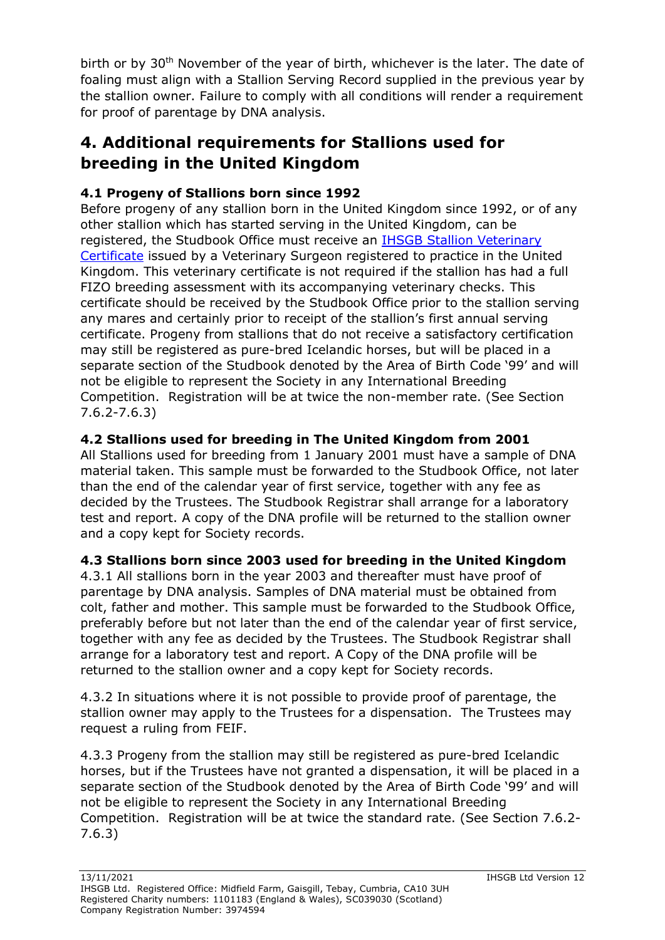birth or by 30<sup>th</sup> November of the year of birth, whichever is the later. The date of foaling must align with a Stallion Serving Record supplied in the previous year by the stallion owner. Failure to comply with all conditions will render a requirement for proof of parentage by DNA analysis.

### **4. Additional requirements for Stallions used for breeding in the United Kingdom**

### **4.1 Progeny of Stallions born since 1992**

Before progeny of any stallion born in the United Kingdom since 1992, or of any other stallion which has started serving in the United Kingdom, can be registered, the Studbook Office must receive an [IHSGB Stallion Veterinary](http://ihsgb.co.uk/wordpress/wp-content/uploads/2013/11/Stallion-Veterinary-Certificate-2016-v1.pdf)  [Certificate](http://ihsgb.co.uk/wordpress/wp-content/uploads/2013/11/Stallion-Veterinary-Certificate-2016-v1.pdf) issued by a Veterinary Surgeon registered to practice in the United Kingdom. This veterinary certificate is not required if the stallion has had a full FIZO breeding assessment with its accompanying veterinary checks. This certificate should be received by the Studbook Office prior to the stallion serving any mares and certainly prior to receipt of the stallion's first annual serving certificate. Progeny from stallions that do not receive a satisfactory certification may still be registered as pure-bred Icelandic horses, but will be placed in a separate section of the Studbook denoted by the Area of Birth Code '99' and will not be eligible to represent the Society in any International Breeding Competition. Registration will be at twice the non-member rate. (See Section 7.6.2-7.6.3)

#### **4.2 Stallions used for breeding in The United Kingdom from 2001**

All Stallions used for breeding from 1 January 2001 must have a sample of DNA material taken. This sample must be forwarded to the Studbook Office, not later than the end of the calendar year of first service, together with any fee as decided by the Trustees. The Studbook Registrar shall arrange for a laboratory test and report. A copy of the DNA profile will be returned to the stallion owner and a copy kept for Society records.

#### **4.3 Stallions born since 2003 used for breeding in the United Kingdom**

4.3.1 All stallions born in the year 2003 and thereafter must have proof of parentage by DNA analysis. Samples of DNA material must be obtained from colt, father and mother. This sample must be forwarded to the Studbook Office, preferably before but not later than the end of the calendar year of first service, together with any fee as decided by the Trustees. The Studbook Registrar shall arrange for a laboratory test and report. A Copy of the DNA profile will be returned to the stallion owner and a copy kept for Society records.

4.3.2 In situations where it is not possible to provide proof of parentage, the stallion owner may apply to the Trustees for a dispensation. The Trustees may request a ruling from FEIF.

4.3.3 Progeny from the stallion may still be registered as pure-bred Icelandic horses, but if the Trustees have not granted a dispensation, it will be placed in a separate section of the Studbook denoted by the Area of Birth Code '99' and will not be eligible to represent the Society in any International Breeding Competition. Registration will be at twice the standard rate. (See Section 7.6.2- 7.6.3)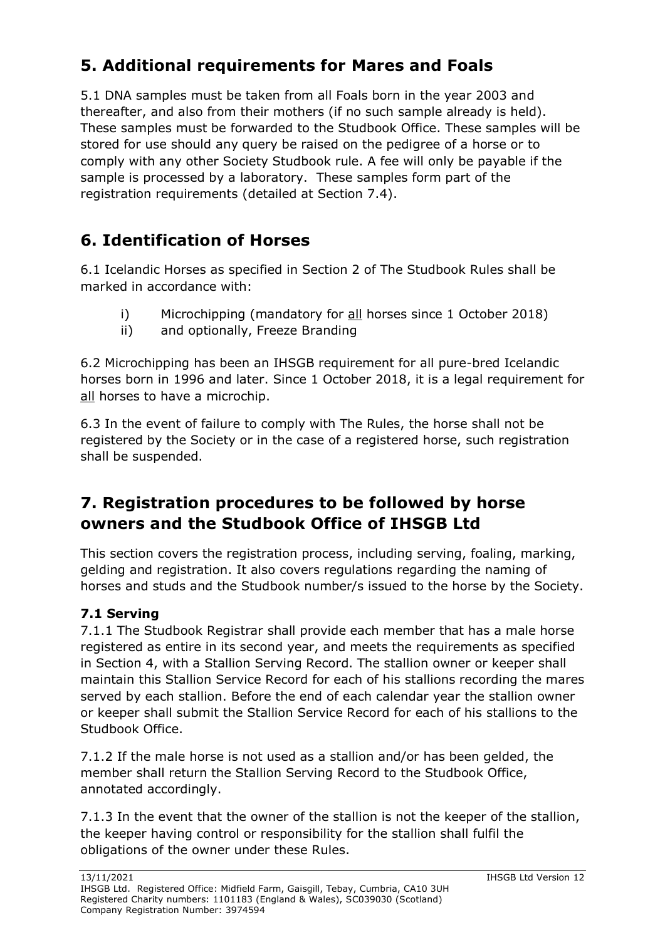## **5. Additional requirements for Mares and Foals**

5.1 DNA samples must be taken from all Foals born in the year 2003 and thereafter, and also from their mothers (if no such sample already is held). These samples must be forwarded to the Studbook Office. These samples will be stored for use should any query be raised on the pedigree of a horse or to comply with any other Society Studbook rule. A fee will only be payable if the sample is processed by a laboratory. These samples form part of the registration requirements (detailed at Section 7.4).

# **6. Identification of Horses**

6.1 Icelandic Horses as specified in Section 2 of The Studbook Rules shall be marked in accordance with:

- i) Microchipping (mandatory for all horses since 1 October 2018)
- ii) and optionally, Freeze Branding

6.2 Microchipping has been an IHSGB requirement for all pure-bred Icelandic horses born in 1996 and later. Since 1 October 2018, it is a legal requirement for all horses to have a microchip.

6.3 In the event of failure to comply with The Rules, the horse shall not be registered by the Society or in the case of a registered horse, such registration shall be suspended.

## **7. Registration procedures to be followed by horse owners and the Studbook Office of IHSGB Ltd**

This section covers the registration process, including serving, foaling, marking, gelding and registration. It also covers regulations regarding the naming of horses and studs and the Studbook number/s issued to the horse by the Society.

### **7.1 Serving**

7.1.1 The Studbook Registrar shall provide each member that has a male horse registered as entire in its second year, and meets the requirements as specified in Section 4, with a Stallion Serving Record. The stallion owner or keeper shall maintain this Stallion Service Record for each of his stallions recording the mares served by each stallion. Before the end of each calendar year the stallion owner or keeper shall submit the Stallion Service Record for each of his stallions to the Studbook Office.

7.1.2 If the male horse is not used as a stallion and/or has been gelded, the member shall return the Stallion Serving Record to the Studbook Office, annotated accordingly.

7.1.3 In the event that the owner of the stallion is not the keeper of the stallion, the keeper having control or responsibility for the stallion shall fulfil the obligations of the owner under these Rules.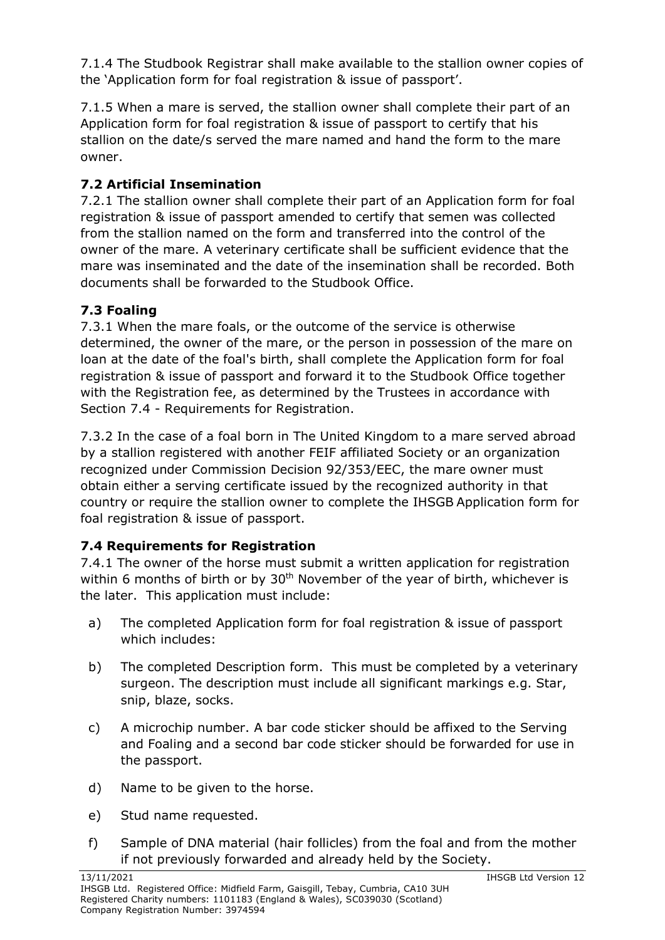7.1.4 The Studbook Registrar shall make available to the stallion owner copies of the 'Application form for foal registration & issue of passport'.

7.1.5 When a mare is served, the stallion owner shall complete their part of an Application form for foal registration & issue of passport to certify that his stallion on the date/s served the mare named and hand the form to the mare owner.

### **7.2 Artificial Insemination**

7.2.1 The stallion owner shall complete their part of an Application form for foal registration & issue of passport amended to certify that semen was collected from the stallion named on the form and transferred into the control of the owner of the mare. A veterinary certificate shall be sufficient evidence that the mare was inseminated and the date of the insemination shall be recorded. Both documents shall be forwarded to the Studbook Office.

### **7.3 Foaling**

7.3.1 When the mare foals, or the outcome of the service is otherwise determined, the owner of the mare, or the person in possession of the mare on loan at the date of the foal's birth, shall complete the Application form for foal registration & issue of passport and forward it to the Studbook Office together with the Registration fee, as determined by the Trustees in accordance with Section 7.4 - Requirements for Registration.

7.3.2 In the case of a foal born in The United Kingdom to a mare served abroad by a stallion registered with another FEIF affiliated Society or an organization recognized under Commission Decision 92/353/EEC, the mare owner must obtain either a serving certificate issued by the recognized authority in that country or require the stallion owner to complete the IHSGB Application form for foal registration & issue of passport.

### **7.4 Requirements for Registration**

7.4.1 The owner of the horse must submit a written application for registration within 6 months of birth or by  $30<sup>th</sup>$  November of the year of birth, whichever is the later. This application must include:

- a) The completed Application form for foal registration & issue of passport which includes:
- b) The completed Description form. This must be completed by a veterinary surgeon. The description must include all significant markings e.g. Star, snip, blaze, socks.
- c) A microchip number. A bar code sticker should be affixed to the Serving and Foaling and a second bar code sticker should be forwarded for use in the passport.
- d) Name to be given to the horse.
- e) Stud name requested.
- f) Sample of DNA material (hair follicles) from the foal and from the mother if not previously forwarded and already held by the Society.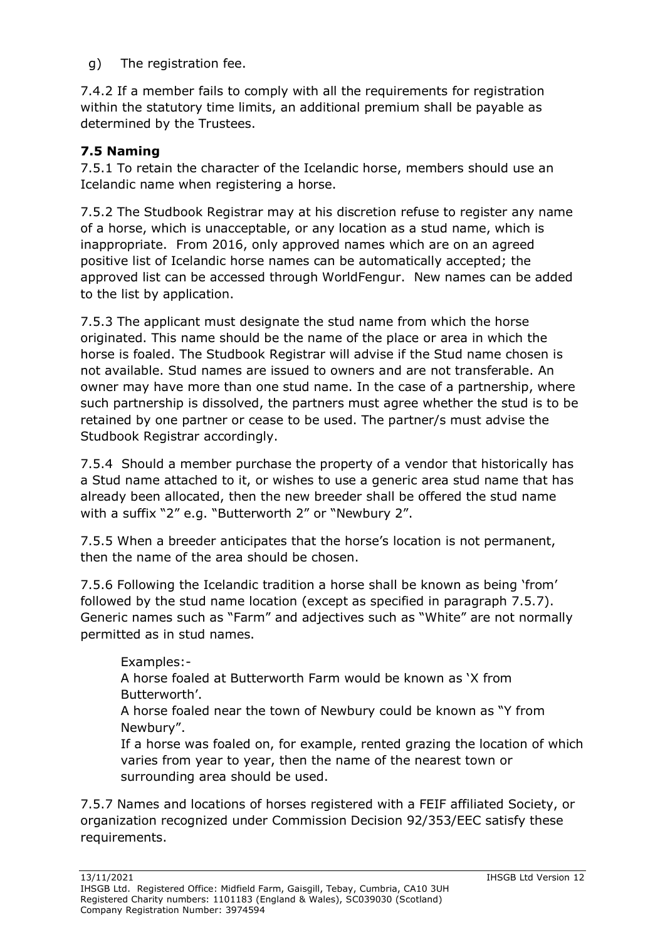g) The registration fee.

7.4.2 If a member fails to comply with all the requirements for registration within the statutory time limits, an additional premium shall be payable as determined by the Trustees.

### **7.5 Naming**

7.5.1 To retain the character of the Icelandic horse, members should use an Icelandic name when registering a horse.

7.5.2 The Studbook Registrar may at his discretion refuse to register any name of a horse, which is unacceptable, or any location as a stud name, which is inappropriate. From 2016, only approved names which are on an agreed positive list of Icelandic horse names can be automatically accepted; the approved list can be accessed through WorldFengur. New names can be added to the list by application.

7.5.3 The applicant must designate the stud name from which the horse originated. This name should be the name of the place or area in which the horse is foaled. The Studbook Registrar will advise if the Stud name chosen is not available. Stud names are issued to owners and are not transferable. An owner may have more than one stud name. In the case of a partnership, where such partnership is dissolved, the partners must agree whether the stud is to be retained by one partner or cease to be used. The partner/s must advise the Studbook Registrar accordingly.

7.5.4 Should a member purchase the property of a vendor that historically has a Stud name attached to it, or wishes to use a generic area stud name that has already been allocated, then the new breeder shall be offered the stud name with a suffix "2" e.g. "Butterworth 2" or "Newbury 2".

7.5.5 When a breeder anticipates that the horse's location is not permanent, then the name of the area should be chosen.

7.5.6 Following the Icelandic tradition a horse shall be known as being 'from' followed by the stud name location (except as specified in paragraph 7.5.7). Generic names such as "Farm" and adjectives such as "White" are not normally permitted as in stud names.

Examples:-

A horse foaled at Butterworth Farm would be known as 'X from Butterworth'.

A horse foaled near the town of Newbury could be known as "Y from Newbury".

If a horse was foaled on, for example, rented grazing the location of which varies from year to year, then the name of the nearest town or surrounding area should be used.

7.5.7 Names and locations of horses registered with a FEIF affiliated Society, or organization recognized under Commission Decision 92/353/EEC satisfy these requirements.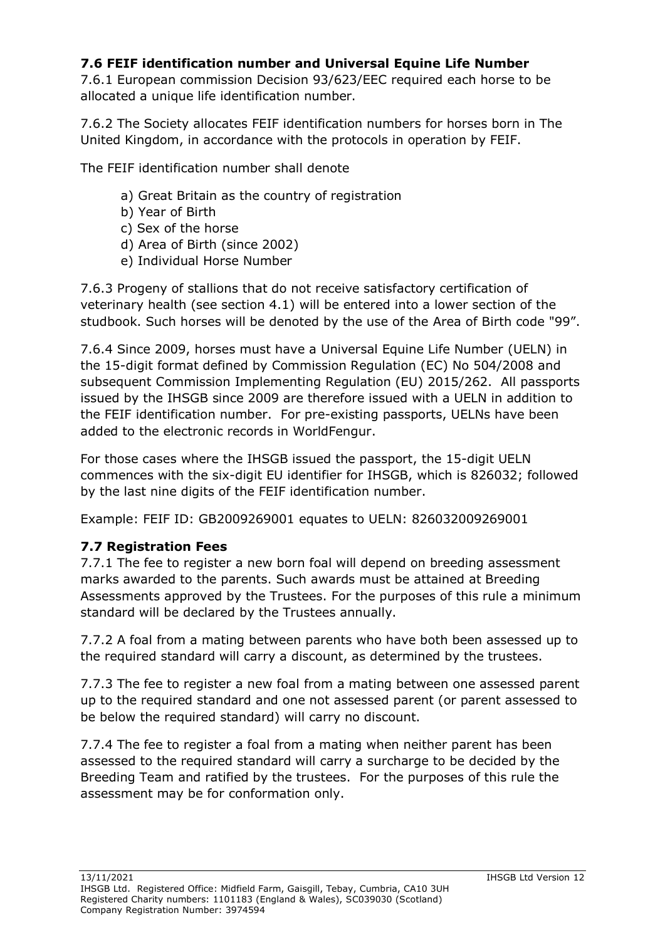#### **7.6 FEIF identification number and Universal Equine Life Number**

7.6.1 European commission Decision 93/623/EEC required each horse to be allocated a unique life identification number.

7.6.2 The Society allocates FEIF identification numbers for horses born in The United Kingdom, in accordance with the protocols in operation by FEIF.

The FEIF identification number shall denote

- a) Great Britain as the country of registration
- b) Year of Birth
- c) Sex of the horse
- d) Area of Birth (since 2002)
- e) Individual Horse Number

7.6.3 Progeny of stallions that do not receive satisfactory certification of veterinary health (see section 4.1) will be entered into a lower section of the studbook. Such horses will be denoted by the use of the Area of Birth code "99".

7.6.4 Since 2009, horses must have a Universal Equine Life Number (UELN) in the 15-digit format defined by Commission Regulation (EC) No 504/2008 and subsequent Commission Implementing Regulation (EU) 2015/262. All passports issued by the IHSGB since 2009 are therefore issued with a UELN in addition to the FEIF identification number. For pre-existing passports, UELNs have been added to the electronic records in WorldFengur.

For those cases where the IHSGB issued the passport, the 15-digit UELN commences with the six-digit EU identifier for IHSGB, which is 826032; followed by the last nine digits of the FEIF identification number.

Example: FEIF ID: GB2009269001 equates to UELN: 826032009269001

#### **7.7 Registration Fees**

7.7.1 The fee to register a new born foal will depend on breeding assessment marks awarded to the parents. Such awards must be attained at Breeding Assessments approved by the Trustees. For the purposes of this rule a minimum standard will be declared by the Trustees annually.

7.7.2 A foal from a mating between parents who have both been assessed up to the required standard will carry a discount, as determined by the trustees.

7.7.3 The fee to register a new foal from a mating between one assessed parent up to the required standard and one not assessed parent (or parent assessed to be below the required standard) will carry no discount.

7.7.4 The fee to register a foal from a mating when neither parent has been assessed to the required standard will carry a surcharge to be decided by the Breeding Team and ratified by the trustees. For the purposes of this rule the assessment may be for conformation only.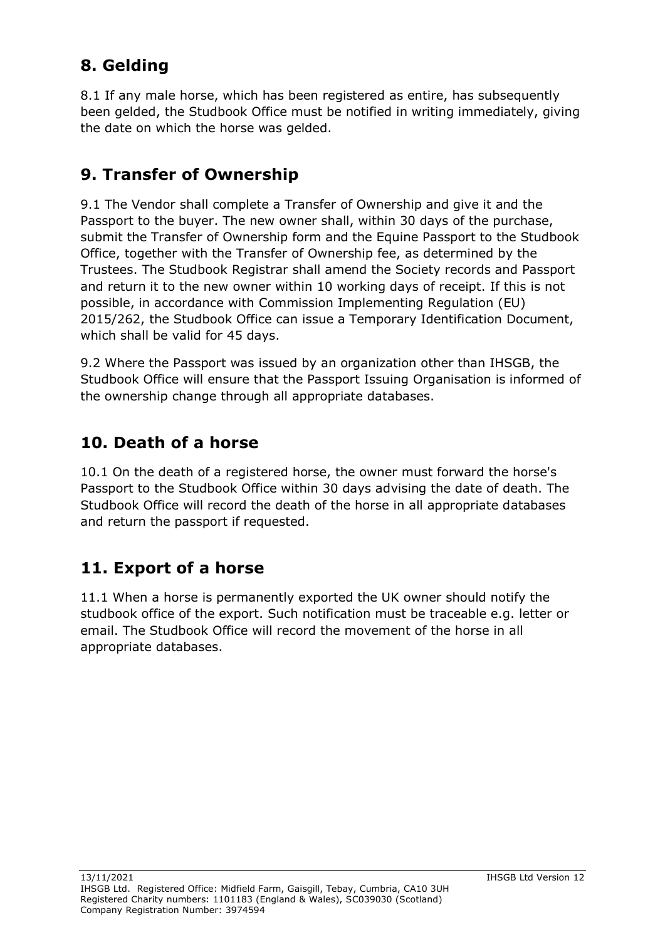# **8. Gelding**

8.1 If any male horse, which has been registered as entire, has subsequently been gelded, the Studbook Office must be notified in writing immediately, giving the date on which the horse was gelded.

## **9. Transfer of Ownership**

9.1 The Vendor shall complete a Transfer of Ownership and give it and the Passport to the buyer. The new owner shall, within 30 days of the purchase, submit the Transfer of Ownership form and the Equine Passport to the Studbook Office, together with the Transfer of Ownership fee, as determined by the Trustees. The Studbook Registrar shall amend the Society records and Passport and return it to the new owner within 10 working days of receipt. If this is not possible, in accordance with Commission Implementing Regulation (EU) 2015/262, the Studbook Office can issue a Temporary Identification Document, which shall be valid for 45 days.

9.2 Where the Passport was issued by an organization other than IHSGB, the Studbook Office will ensure that the Passport Issuing Organisation is informed of the ownership change through all appropriate databases.

## **10. Death of a horse**

10.1 On the death of a registered horse, the owner must forward the horse's Passport to the Studbook Office within 30 days advising the date of death. The Studbook Office will record the death of the horse in all appropriate databases and return the passport if requested.

# **11. Export of a horse**

11.1 When a horse is permanently exported the UK owner should notify the studbook office of the export. Such notification must be traceable e.g. letter or email. The Studbook Office will record the movement of the horse in all appropriate databases.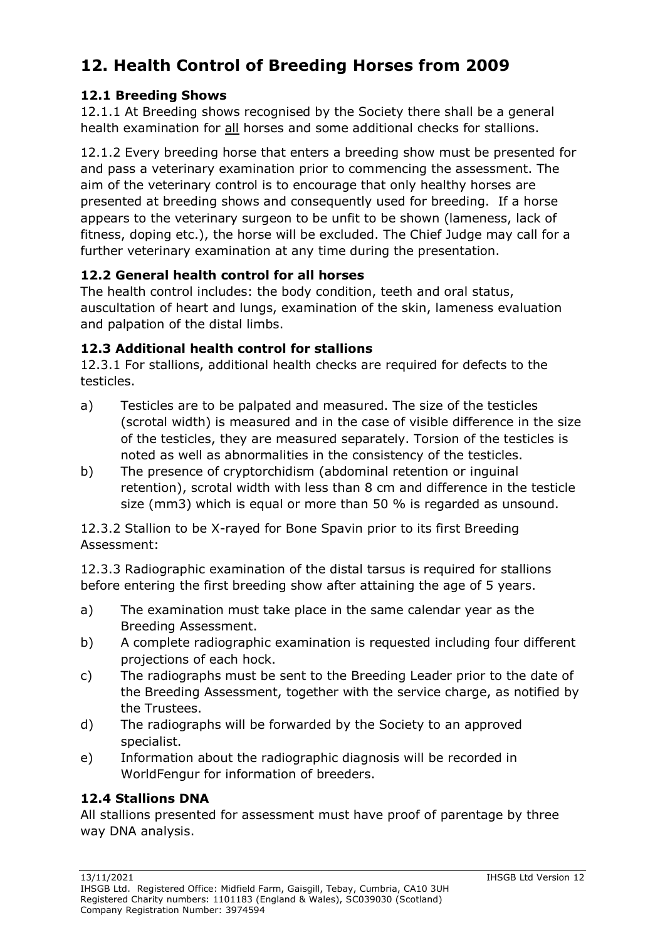## **12. Health Control of Breeding Horses from 2009**

#### **12.1 Breeding Shows**

12.1.1 At Breeding shows recognised by the Society there shall be a general health examination for all horses and some additional checks for stallions.

12.1.2 Every breeding horse that enters a breeding show must be presented for and pass a veterinary examination prior to commencing the assessment. The aim of the veterinary control is to encourage that only healthy horses are presented at breeding shows and consequently used for breeding. If a horse appears to the veterinary surgeon to be unfit to be shown (lameness, lack of fitness, doping etc.), the horse will be excluded. The Chief Judge may call for a further veterinary examination at any time during the presentation.

#### **12.2 General health control for all horses**

The health control includes: the body condition, teeth and oral status, auscultation of heart and lungs, examination of the skin, lameness evaluation and palpation of the distal limbs.

#### **12.3 Additional health control for stallions**

12.3.1 For stallions, additional health checks are required for defects to the testicles.

- a) Testicles are to be palpated and measured. The size of the testicles (scrotal width) is measured and in the case of visible difference in the size of the testicles, they are measured separately. Torsion of the testicles is noted as well as abnormalities in the consistency of the testicles.
- b) The presence of cryptorchidism (abdominal retention or inguinal retention), scrotal width with less than 8 cm and difference in the testicle size (mm3) which is equal or more than 50 % is regarded as unsound.

12.3.2 Stallion to be X-rayed for Bone Spavin prior to its first Breeding Assessment:

12.3.3 Radiographic examination of the distal tarsus is required for stallions before entering the first breeding show after attaining the age of 5 years.

- a) The examination must take place in the same calendar year as the Breeding Assessment.
- b) A complete radiographic examination is requested including four different projections of each hock.
- c) The radiographs must be sent to the Breeding Leader prior to the date of the Breeding Assessment, together with the service charge, as notified by the Trustees.
- d) The radiographs will be forwarded by the Society to an approved specialist.
- e) Information about the radiographic diagnosis will be recorded in WorldFengur for information of breeders.

#### **12.4 Stallions DNA**

All stallions presented for assessment must have proof of parentage by three way DNA analysis.